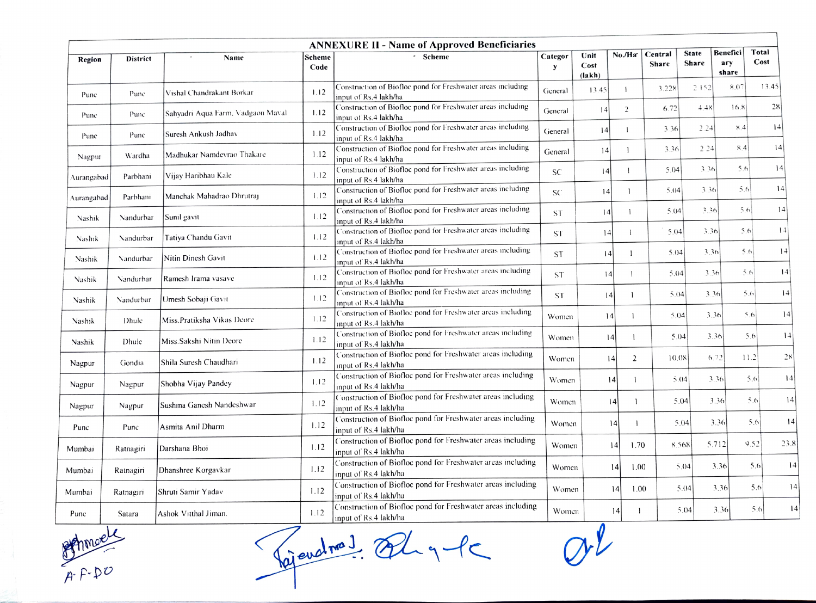| <b>ANNEXURE II - Name of Approved Beneficiaries</b> |                 |                                   |                |                                                                                      |                 |                        |                |                  |                       |                          |                |
|-----------------------------------------------------|-----------------|-----------------------------------|----------------|--------------------------------------------------------------------------------------|-----------------|------------------------|----------------|------------------|-----------------------|--------------------------|----------------|
| Region                                              | <b>District</b> | Name                              | Scheme<br>Code | - Scheme                                                                             | Categor<br>y    | Unit<br>Cost<br>(lakh) | No./Ha         | Central<br>Share | <b>State</b><br>Share | Benefici<br>ary<br>share | Total<br>Cost  |
| Punc                                                | Punc            | Vishal Chandrakant Borkar         | 1.12           | Construction of Biofloc pond for Freshwater areas including<br>input of Rs.4 lakh/ha | General         | 13.45                  | 1              | 3.228            | 2152                  | $8.0^{\circ}$            | 13.45          |
| Punc                                                | Punc            | Sahyadri Aqua Farm, Vadgaon Maval | 1.12           | Construction of Biofloc pond for Freshwater areas including<br>input of Rs.4 lakh/ha | General         | 14                     | $\overline{2}$ | 6.72             | 4.48                  | 16.8                     | 28             |
| Pune                                                | Pune            | Suresh Ankush Jadhav              | 1.12           | Construction of Biofloc pond for Freshwater areas including<br>input of Rs.4 lakh/ha | General         | 4                      | $\mathbf{1}$   | 3.36             | 2.24                  | 8.4                      | 14             |
| Nagpur                                              | Wardha          | Madhukar Namdevrao Thakare        | 1.12           | Construction of Biofloc pond for Freshwater areas including<br>input of Rs.4 lakh/ha | General         | 4                      | 1              | 3.36             | 2 2 4                 | 84                       | $\frac{14}{2}$ |
| Aurangabad                                          | Parbhani        | Vijay Haribhau Kale               | 1.12           | Construction of Biofloc pond for Freshwater areas including<br>input of Rs.4 lakh/ha | <b>SC</b>       | 4                      | $\mathbf{1}$   | 5.04             | 3.36                  | 5.6                      | $\frac{14}{2}$ |
| Aurangabad                                          | Parbhani        | Manchak Mahadrao Dhrutraj         | 1.12           | Construction of Biofloc pond for Freshwater areas including<br>input of Rs.4 lakh/ha | SC <sup>-</sup> | 4                      | $\mathbf{1}$   | 5.04             | 3.36                  | 5.6                      | 14             |
| Nashik                                              | Nandurbar       | Sunil gavit                       | 1.12           | Construction of Biofloc pond for Freshwater areas including<br>input of Rs.4 lakh/ha | <b>ST</b>       | 4                      | $\mathbf{I}$   | 5.04             | 3.36                  | 56                       | 14             |
| Nashik                                              | Nandurbar       | Tatiya Chandu Gavit               | 1.12           | Construction of Biofloc pond for Freshwater areas including<br>input of Rs.4 lakh/ha | <b>ST</b>       | 4                      | $\mathbf{1}$   | 5.04             | 3.36                  | 5.6                      | 4              |
| Nashik                                              | Nandurbar       | Nitin Dinesh Gavit                | 1.12           | Construction of Biofloc pond for Freshwater areas including<br>input of Rs.4 lakh/ha | <b>ST</b>       | 4                      | $\overline{1}$ | 5.04             | 3.36                  | 5.6                      | $ 1-1 $        |
| <b>Nashik</b>                                       | Nandurbar       | Ramesh Irama vasave               | 1.12           | Construction of Biofloc pond for Freshwater areas including<br>input of Rs.4 lakh/ha | <b>ST</b>       | 14                     |                | 5.04             | 3.36                  | 5.6                      | 4              |
| Nashik                                              | Nandurbar       | Umesh Sobaji Gavit                | 1.12           | Construction of Biofloc pond for Freshwater areas including<br>input of Rs.4 lakh/ha | <b>ST</b>       | 4                      |                | 5.04             | 3.36                  | 5.6                      | 14             |
| Nashik                                              | Dhule           | Miss.Pratiksha Vikas Deore        | 1.12           | Construction of Biofloc pond for Freshwater areas including<br>input of Rs.4 lakh/ha | Women           | 4                      | 1              | 5.04             | 3.36                  |                          | 5.6<br> 4      |
| Nashik                                              | Dhule           | Miss.Sakshi Nitin Deore           | 1.12           | Construction of Biofloc pond for Freshwater areas including<br>input of Rs.4 lakh/ha | Women           | 4                      | $\mathbf{1}$   | 5.04             |                       | 3.36                     | 4 <br>5.6      |
| Nagpur                                              | Gondia          | Shila Suresh Chaudhari            | 1.12           | Construction of Biofloc pond for Freshwater areas including<br>input of Rs.4 lakh/ha | Women           | $\overline{14}$        | 2              | 10.08            |                       | 6.72<br>11.2             | 28             |
| Nagpur                                              | Nagpur          | Shobha Vijay Pandey               | 1.12           | Construction of Biofloc pond for Freshwater areas including<br>input of Rs.4 lakh/ha | Women           | $\frac{14}{2}$         | $\mathbf{1}$   | 5.04             |                       | 3.36                     | 5.6            |
| Nagpur                                              | Nagpur          | Sushma Ganesh Nandeshwar          | 1.12           | Construction of Biofloc pond for Freshwater areas including<br>input of Rs.4 lakh/ha | Women           |                        | 4 <br>-1       | 5.04             |                       | 3.36                     | 5.6            |
| Punc                                                | Punc            | Asmita Anil Dharm                 | 1.12           | Construction of Biofloc pond for Freshwater areas including<br>input of Rs.4 lakh/ha | Women           |                        | 14             | 5(04)            |                       | 3.36                     | 5.6            |
| Mumbai                                              | Ratnagiri       | Darshana Bhoi                     | 1.12           | Construction of Biofloc pond for Freshwater areas including<br>input of Rs.4 lakh/ha | Women           |                        | 1.70<br> 4     | 8.568            |                       | 5.712                    | 9.52<br>23.8   |
| Mumbai                                              | Ratnagiri       | Dhanshree Korgavkar               | 1.12           | Construction of Biofloc pond for Freshwater areas including<br>input of Rs.4 lakh/ha | Women           |                        | 1.00<br> 4     |                  | 5.04                  | 3.36                     | 5.6            |
| Mumbai                                              | Ratnagiri       | Shruti Samir Yadav                | 1.12           | Construction of Biofloc pond for Freshwater areas including<br>input of Rs.4 lakh/ha | Women           |                        | 1.00<br>14     |                  | 5.04                  | 3.36                     | 5.6            |
| Punc                                                | Satara          | Ashok Vitthal Jiman.              | 1.12           | Construction of Biofloc pond for Freshwater areas including<br>input of Rs.4 lakh/ha | Women           |                        | 14             |                  | 5.04                  | 3.36                     | 5.6            |

hmcelk  $A-F-D<sup>o</sup>$